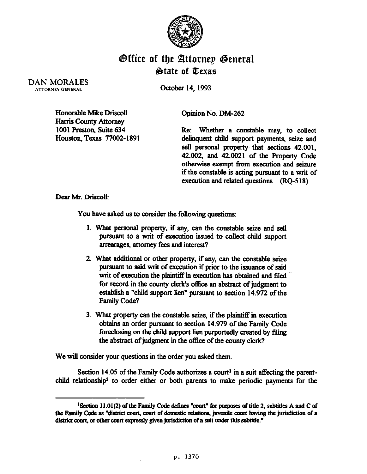

## **Office of the Attornep General** &ate of Eexas

DAN MORALES **ATTORNEY GENERAL** 

October 14,1993

Honorable Mike Driscoll Harris County Attorney 1001 Preston, Suite 634 Houston, Texas 77002-I 891 Opinion No. DM-262

Re: Whether a constable may, to collect delinquent child support payments, seize and sell personal property that sections 42.001, 42.002, and 42.0021 of the Property Code otherwise exempt from execution and seizure if the constable is acting pursuant to a writ of execution and related questions (RQ-518)

Dear Mr. Driscoll:

You have asked us to consider the following questions:

- 1. What personal property, if any, can the constable seize and sell pursuant to a wit of execution issued to collect child support arrearages, attorney fees and interest?
- 2. what additional or other property, if any, can the constable seize pursuant to said wit of execution if prior to the issuance of said writ of execution the plaintiff in execution has obtained and filed for record in the county clerk's office an abstract of judgment to establish a "child support lien" pursuant to section 14.972 of the Family Code?
- 3. Wbat property can the cOnstable seize, if the plaintiff in execution obtains an order pursuant to section 14.979 of the Family Code foreclosing on the child support lien purportedly created by filing the abstract of judgment in the office of the county clerk?

We will consider your questions in the order you asked them.

Section 14.05 of the Family Code authorizes a court<sup>1</sup> in a suit affecting the parentchild relationship<sup>2</sup> to order either or both parents to make periodic payments for the

<sup>&</sup>lt;sup>1</sup>Section 11.01(2) of the Family Code defines "court" for purposes of title 2, subtitles A and C of the Family Code as "district court, court of domestic relations, juvenile court having the jurisdiction of a district court, or other court expressly given jurisdiction of a suit under this subtitle."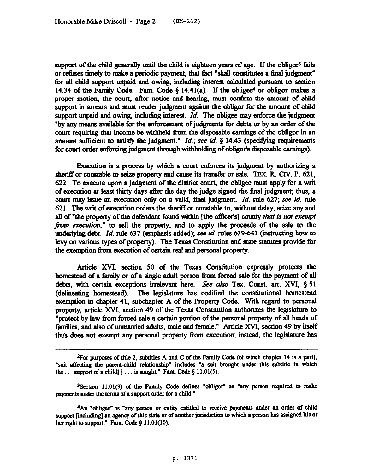support of the child generally until the child is eighteen years of age. If the obligor<sup>3</sup> fails or refuses timely to make a periodic payment, that fact "shall constitutes a final judgment" for all child support unpaid and owing, including interest calculated pursuant to section 14.34 of the Family Code. Fam. Code  $\S$  14.41(a). If the obligee<sup>4</sup> or obligor makes a proper motion, the court, after notice and hearing, must confirm the amount of child support in arrears and must render judgment against the obligor for the amount of child support unpaid and owing, including interest. *Id.* The obligee may enforce the judgment "by any means available for the enforcement of judgments for debts or by an order of the court requiring that income be withheld from the disposable earnings of the obligor in an amount sufficient to satisfy the judgment." *Id.; see id.* § 14.43 (specifying requirements for court order enforcing judgment through withholding of obliger's disposable earnings).

Execution is a process by which a court enforces its judgment by authorizing a sheriff or constable to seize property and cause its transfer or sale. TEX. R. CIV. P. 621, 622. To execute upon a judgment of the district court, the obligec must apply for a writ of execution at least thirty days after the day the judge signed the final judgment; thus, a court may issue an execution only on a valid, Gnal judgment. *Id.* rule 627; see *id.* rule 621. The writ of execution orders the sheriff or constable to, without delay, seize any and all of "the property of the defendant found within [the officer's] county that is not exempt from execution," to sell the property, and to apply the proceeds of the sale to the underlying debt. *Id.* rule 637 (emphasis added); see *id.* rules 639-643 (instructing how to levy on various types of property). The Texas Constitution and state statutes provide for the exemption from execution of certain real and personal property.

Article XVI, section 50 of the Texas Constitution expressly protects the homestead of a family or of a single adult person from forced sale for the payment of all debts, with certain exceptions irrelevant here. See also Tex. Const. art. XVI,  $\S$  51 (delineating homestead). The legislature has codified the constitutional homestead The legislature has codified the constitutional homestead exemption in chapter 41, subchapter A of the Property Code. With regard to personal property, article XVI, section 49 of the Texas Constitution authorixes the legislature to "protect by law from forced sale a certain portion of the personal property of all heads of families, and also of unmarried adults, male and female." Article XVI, section 49 by itself thus does not exempt any personal property from execution; instead, the legislature has

<sup>&</sup>lt;sup>2</sup>For purposes of title 2, subtitles A and C of the Family Code (of which chapter 14 is a part), "suit affecting the parent-child relationship" includes "a suit brought under this subtitle in which the... support of a child[ $] \ldots$  is sought." Fam. Code  $\S$  11.01(5).

<sup>&</sup>lt;sup>3</sup>Section 11.01(9) of the Family Code defines "obligor" as "any person required to make payments under the terms of a support order for a child."

<sup>&#</sup>x27;An **'obligee" is "any person or entity entitled to receive payments under an order of child**  support [including] an agency of this state or of another jurisdiction to which a person has assigned his or her right to support." Fam. Code  $\S$  11.01(10).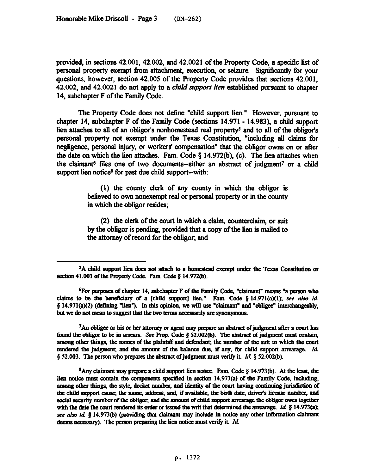provided, in sections 42.001,42.002, and 42.0021 of the Property Code, a specific list of personal property exempt from attachment, execution, or seizure. Significantly for your questions, however, section 42.005 of the Property Code provides that sections 42.001, 42.002, and 42.0021 do not apply to a *child support lien established* **pursuant to chapter**  14, subchapter F of the Family Code.

The Property Code does not define "child support lien." However, pursuant to chapter 14, subchapter F of the Family Code (sections 14.971- 14.983), a child support lien attaches to all of an obligor's nonhomestead real property<sup>5</sup> and to all of the obligor's personal property not exempt under the Texas Constitution, "including all claims for negligence, personal injury, or workers' compensation" that the obliger owns on or after the date on which the lien attaches. Fam. Code  $\S$  14.972(b), (c). The lien attaches when the claimant<sup>6</sup> files one of two documents--either an abstract of judgment<sup>7</sup> or a child support lien notice<sup>8</sup> for past due child support--with:

> (1) the county clerk of any county in which the obligor is believed **to** own nonexempt real or personal property or in the county in which the obligor resides;

> (2) the clerk of the court in which a claim, counterclaim, or suit by the obliger is pending, provided that a copy of the lien is mailed to the attorney of record for the obliger. and

<sup>7</sup>An obligee or his or her attorney or agent may prepare an abstract of judgment after a court has found the obligor to be in arrears. See Prop. Code § 52,002(b). The abstract of judgment must contain, among other things, the names of the plaintiff and defendant; the number of the suit in which the court rendered the judgment; and the amount of the balance due, if any, for child support arrearage. Id. § 52.003. The person who prepares the abstract of judgment must verify it. Id. § 52.002(b).

<sup>8</sup>Any claimant may prepare a child support lien notice. Fam. Code  $\S$  14.973(b). At the least, the lien notice must contain the components specified in section 14.973(a) of the Family Code, including, among other things, the style, docket number, and identity of the court having continuing jurisdiction of the child support cause; the name, address, and, if available, the birth date, driver's license number, and social security number of the obligor; and the amount of child support arrearage the obligor owes together with the date the court rendered its order or issued the writ that determined the arrearage. Id.  $\S$  14.973(a); see also id. § 14.973(b) (providing that claimant may include in notice any other information claimant deems necessary). The person preparing the lien notice must verify it. Id.

<sup>&</sup>lt;sup>5</sup>A child support lien does not attach to a homestead exempt under the Texas Constitution or section 41.001 of the Property Code. Fam. Code § 14.972(b).

<sup>&</sup>lt;sup>6</sup>For purposes of chapter 14, subchapter F of the Family Code, "claimant" means "a person who claims to be the beneficiary of a [child support] lien." Fam. Code § 14.971(a)(1); see also id.  $\S$  14.971(a)(2) (defining "lien"). In this opinion, we will use "claimant" and "obligee" interchangeably, but we do not mean to suggest that the two terms necessarily are synonymous.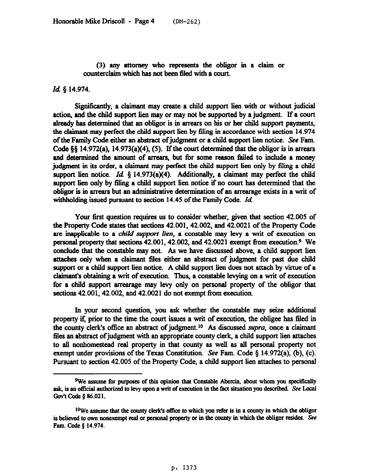*(3)* any attorney who represents the obliger in a claim or counterclaim which has not been filed with a court.

## *Id 5 14.974.*

Significantly, a claimant may create a child support lien with or without judicial action, and the child support lien may or may not be supported by a judgment. If a court already has determined that an obligor is in arrears on his or her child support payments, the claimant may perfect the child support lien by filing in accordance with section 14.974 of the Family Code either an abstract of judgment or a child support lien notice. See Fam. Code  $\S$  14.972(a), 14.973(a)(4), (5). If the court determined that the obligor is in arrears and determined the amount of arrears, but for some reason failed to include a money judgment in its order, a claimant may perfect the child support lien only by filing a child support lien notice. *Id.* § 14.973(a)(4). Additionally, a claimant may perfect the child support lien only by filing a child support lien notice if no court has determined that the obligor is in arrears but an administrative determmation of an arrearage exists in a writ of withholding issued pursuant to section 14.45 of the Family Code. *Id* 

Your first question requires us to consider whether, given that section 42.005 of the Property Code states that sections 42.001,42.002, and 42.0021 of the Property Code are inapplicable to a *child support lien*, a constable may levy a writ of execution on personal property that sections 42.001,42.002, and 42.0021 exempt from execution.9 We conclude that the constable may not. As we have discussed above, a child support lien attaches only when a claimant tiles either an abstract of judgment for past due child support or a child support lien notice. A child support lien does not attach by virtue of a claimant's obtaining a writ of execution. Thus, a constable levying on a writ of execution for a child support arrearage may levy only on personal property of the obligor that sections 42.001, 42.002, and 42.0021 do not exempt from execution.

In your second question, you ask whether the constable may seize additional property if, prior to the time the court issues a writ of execution, the obligee has filed in the county clerk's office an abstract of judgment.<sup>10</sup> As discussed *supra*, once a claimant files an abstract of judgment with an appropriate county clerk, a child support lien attaches to all nonhomestead real property in that county as well as all personal property not exempt under provisions of the Texas Constitution. See Fam. Code  $\S$  14.972(a), (b), (c). Pursuant to section 42.005 of the Property Code, a child support lien attaches to personal

<sup>&</sup>lt;sup>9</sup>We assume for purposes of this opinion that Constable Abercia, about whom you specifically ask, is an official authorized to levy upon a writ of execution in the fact situation you described. See Local Gov't Code § 86.021.

<sup>&</sup>lt;sup>10</sup>We assume that the county clerk's office to which you refer is in a county in which the obligor is believed to own nonexempt real or personal property or in the county in which the obligor resides. See **Fam. Code \$ 14.974.**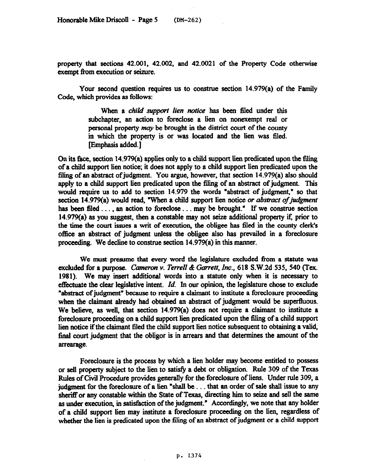property that sections 42.091, 42.002, and 42.0021 of the Property Code otherwise exempt from execution or seizure.

Your second question requires us to construe section 14.979(a) of the Family Code, which provides as follows:

> When a *child support lien notice* has been filed under this subchapter, an action to foreclose a lien on nonexempt real or personal property *may* be brought in the district court of the county in which the property is or was located and the lien was filed. [Emphasis added.]

On its face, section 14.979(a) applies only to a child support lien predicated upon the filing of a child support lien notice; it does not apply to a child support lien predicated upon the filing of an abstract of judgment. You argue, however, that section  $14.979(a)$  also should apply to a child support lien predicated upon the filing of an abstract of judgment. This would require us to add to section 14.979 the words "abstract of judgment," so that section 14.979(a) would read, "When a child support lien notice or *abstract of judgment* has been filed . . . , an action to foreclose . . . may be brought." If we construe section  $14.979(a)$  as you suggest, then a constable may not seize additional property if, prior to the time the court issues a writ of execution, the obligee has filed in the county clerk's office an abstract of judgment unless the obligee also has prevailed in a foreclosure proceeding. We decline to construe section 14.979(a) in this manner.

We must presume that every word the legislature excluded from a statute was excluded for a purpose. *Cameron v. Terrell & Garrett, Inc.*, 618 S.W.2d 535, 540 (Tex. 1981). We may insert additional words into a statute only when it is necessary to effectuate the clear legislative intent. *Id.* In our opinion, the legislature chose to exclude "abstract of judgment" because to require a claimant to institute a foreclosure proceeding when the claimant already had obtained an abstract of judgment would be superfluous. We believe, as well, that section 14.979(a) does not require a claimant to institute a foreclosure proceeding on a child support lien predicated upon the filing of a child support lien notice if the claimant filed the child support lien notice subsequent to obtaining a valid, final court judgment that the obligor is in arrears and that determines the amount of the arrearage.

Foreclosure is the process by which a lien holder may become entitled to possess or sell property subject to the lien to satisfy a debt or obligation. Rule 309 of the Texas Rules of Civil Procedure provides generally for the foreclosure of liens. Under rule 309, a judgment for the foreclosure of a lien "shall be... that an order of sale shall issue to any sheriff or any constable within the State of Texas, directing him to seize and sell the same as under execution, in satisfaction of the judgment." Accordingly, we note that any holder of a child support lien may institute a foreclosure proceeding on the lien, regardless of whether the lien is predicated upon the filing of an abstract of judgment or a child support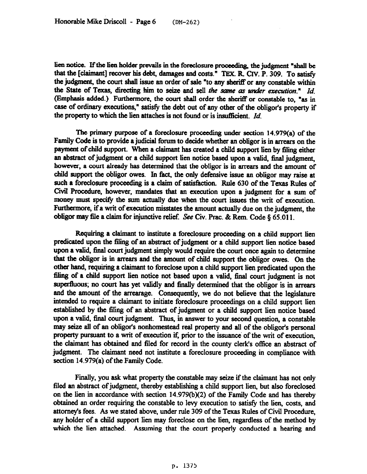lien notice. If the lien holder prevails in the foreclosure proceeding, the judgment "shall be that the [daimant] recover his debt, damages and costs." TEX. R CIV. P. 309. To satisfy the judgment, the court shall issue an order of sale "to any sheriff or any constable within the State of Texas, directing him to seize and sell the same as under execution." *Id.* (Emphasis added.) Furthermore, the court shall order the sheriff or constable to, "as in case of ordinary executions," satisfy the debt out of any other of the obliger's property if the property to which the lien attaches is not found or is insufticient. *Id.* 

The primary purpose of a foreclosure proceeding under section  $14.979(a)$  of the Family Code is to provide a judicial forum to decide whether an obligor is in arrears on the payment of child support. when a claimant has created a child support lien by filing either an abstract of judgment or a child support lien notice based upon a valid, fmal judgment, however, a court already has determined that the obligor is in arrears and the amount of child support the obligor owes. In fact, the only defensive issue an obligor may raise at such a foreclosure proceedmg is a claim of satisfaction. Rule 630 of the Texas Rules of Civil Procedure, however, mandates that an execution upon a judgment for a sum of money must specify the sum actually due when the court issues the writ of execution. Furthermore, if a writ of execution misstates the amount actually due on the judgment, the obligor may file a claim for injunctive relief. See Civ. Prac. & Rem. Code  $\S 65.011$ .

Requiring a claimant to institute a foreclosure proceeding on a child support lien predicated upon the Sling of an abstract of judgment or a child support lien notice based upon a valid, final court judgment simply would require the court once again to determine that the obliger is in arrears and the amount of child support the obligor owes. On the other hand, requiring a claimant to foreclose upon a child support lien predicated upon the filing of a child support lien notice not based upon a valid, final court judgment is not superfluous; no court has yet validly and finally determined that the obligor is in arrears and the amount of the arrearage. Consequently, we do not believe that the legislature intended to require a claimant to initiate foreclosure proceedings on a child support lien established by the filing of an abstract of judgment or a child support lien notice based upon a valid, final court judgment. Thus, in answer to your second question, a constable may seize all of an obliger's nonhomestead real property and all of the obliger's personal property pursuant to a writ of execution if, prior to the issuance of the writ of execution. the claimsnt has obtained and filed for record in the county clerk's office an abstract of judgment. The claimant need not institute a foreclosure proceeding in compliance with section 14.979(a) of the Family Code.

Finally, you ask what property the constable may seize if the claimant has not only filed an abstract of judgment, thereby establishing a child support lien, but also foreclosed on the lien in accordance with section 14.979(b)(2) of the Family Code and has thereby obtained an order requiring the constable to levy execution to satisfy the lien, costs, and attorney's fees. As we stated above, under rule 309 of the Texas Rules of Civil Procedure, any holder of a child support lien may foreclose on the lien, regardless of the method by which the lien attached. Assuming that the court properly conducted a hearing and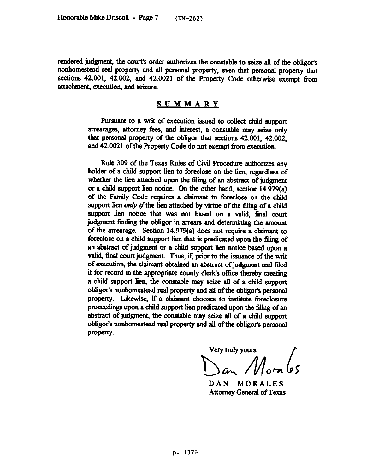rendered judgment, the court's order authorizes the constable to seize all of the obligor's nonhomestead real property and all personal property, even that personal property that sections 42.001, 42.002, and 42.0021 of the Property Code otherwise exempt from attachment, execution, and seizure.

## **SUMMARY**

Pursuant to a writ of execution issued to collect child support arrearages, attorney fees, and interest, a constable may seize only that personal property of the obligor that sections 42.001, 42.002, and 42.0021 of the Property Code do not exempt from execution.

Rule **309** of the Texas Rules of Civil Procedure authorizes any holder of a child support lien to foreclose on the lien, regardless of whether the lien attached upon the tiling of an abstract of judgment or a child support lien notice. On the other hand, section 14.979(a) of the Family Code requires a claimant to foreclose on the child support lien only if the lien attached by virtue of the filing of a child support lien notice that was not based on a valid, final court judgment finding the obligor in arrears and determining the amount of the arreamge. Section 14.979(a) does not require a claimant to foreclose on a child support lien that is predicated upon the 6ling of an abstract of judgment or a child support lien notice based upon a valid, final court judgment. Thus, if, prior to the issuance of the writ of execution, the claimant obtained an abstract of judgment and filed it for record in the appropriate county clerk's office thereby creating a child support lien, the constable may seize all of a child support obliger's nonhomestead real property and all of the obliger's personal property. Likewise, if a claimant chooses to institute foreclosure proceedings upon a child support lien predicated upon the filing of an abstract of judgment, the constable may seize all of a child support obliger's nonhomestead real property and all of the obliger's personal property.

Very truly yours, Dan Mombs

DAN MORALES Attorney General of Texas